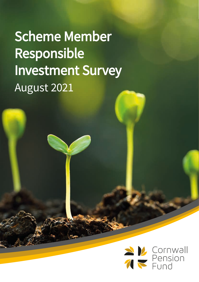Scheme Member Responsible Investment Survey August 2021

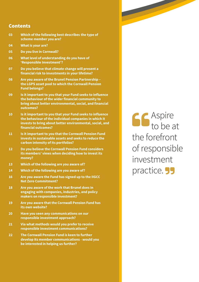#### Contents

- **03 Which of the following best describes the type of scheme member you are? 04 What is your are?**
- **05 Do you live in Cornwall?**
- **06 What level of understanding do you have of 'Responsible Investment'?**
- **07 Do you believe that climate change will present a financial risk to investments in your lifetime?**
- **08 Are you aware of the Brunel Pension Partnership the LGPS asset pool to which the Cornwall Pension Fund belongs?**
- **09 Is it important to you that your Fund seeks to influence the behaviour of the wider financial community to bring about better environmental, social, and financial outcomes?**
- **10 Is it important to you that your Fund seeks to influence the behaviour of the individual companies in which it invests to bring about better environmental, social, and financial outcomes?**
- **11 Is it important to you that the Cornwall Pension Fund invests in sustainable assets and seeks to reduce the carbon intensity of its portfolios?**
- **12 Do you believe the Cornwall Pension Fund considers its members' views when deciding how to invest its money?**
- **13 Which of the following are you aware of?**
- **14 Which of the following are you aware of?**
- **16 Are you aware the Fund has signed up to the IIGCC Net Zero Commitment?**
- **18 Are you aware of the work that Brunel does in engaging with companies, industries, and policy makers on responsible investment?**
- **19 Are you aware that the Cornwall Pension Fund has its own website?**
- **20 Have you seen any communications on our responsible investment approach?**
- **21 Via what methods would you prefer to receive responsible investment communications?**
- **22 The Cornwall Pension Fund is keen to further develop its member communications - would you be interested in helping us further?**

Aspire to be at the forefront of responsible investment practice. **55**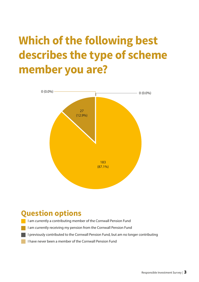## **Which of the following best describes the type of scheme member you are?**



### **Question options**

- I am currently a contributing member of the Cornwall Pension Fund
- I am currently receiving my pension from the Cornwall Pension Fund
- I previously contributed to the Cornwall Pension Fund, but am no longer contributing
- I have never been a member of the Cornwall Pension Fund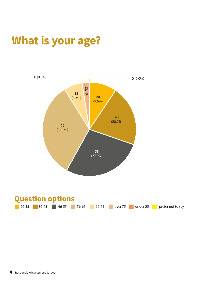# **What is your age?**

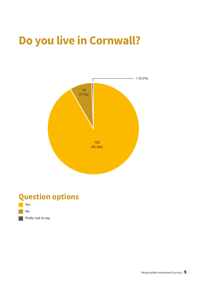## **Do you live in Cornwall?**



### **Question options**

- Yes
- No

Prefer not to say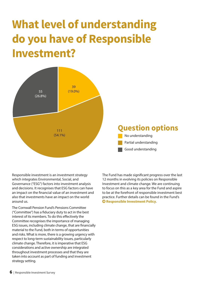# **What level of understanding do you have of Responsible Investment?**



Responsible investment is an investment strategy which integrates Environmental, Social, and Governance ("ESG") factors into investment analysis and decisions. It recognises that ESG factors can have an impact on the financial value of an investment and also that investments have an impact on the world around us.

The Cornwall Pension Fund's Pensions Committee ("Committee") has a fiduciary duty to act in the best interest of its members. To do this effectively the Committee recognises the importance of managing ESG issues, including climate change, that are financially material to the Fund, both in terms of opportunities and risks. What is more, there is a growing urgency with respect to long-term sustainability issues, particularly climate change. Therefore, it is imperative that ESG considerations and active ownership are integrated throughout investment processes and that they are taken into account as part of funding and investment strategy setting.

The Fund has made significant progress over the last 12 months in evolving its policies on Responsible Investment and climate change. We are continuing to focus on this as a key area for the Fund and aspire to be at the forefront of responsible investment best practice. Further details can be found in the Fund's **Q** [Responsible Investment Policy](https://www.cornwall.gov.uk/jobs-and-careers/cornwall-pension-fund/investments/responsible-investment/).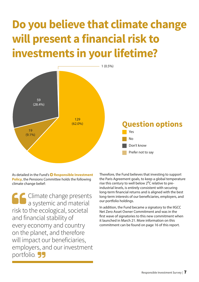# **Do you believe that climate change will present a financial risk to investments in your lifetime?**



As detailed in the Fund's **O Responsible Investment [Policy](https://www.cornwall.gov.uk/jobs-and-careers/cornwall-pension-fund/investments/responsible-investment/)**, the Pensions Committee holds the following climate change belief:

Climate change presents a systemic and material risk to the ecological, societal and financial stability of every economy and country on the planet, and therefore will impact our beneficiaries, employers, and our investment portfolio. **55** 

Therefore, the Fund believes that investing to support the Paris Agreement goals, to keep a global temperature rise this century to well below  $2^{\circ}$ C relative to preindustrial levels, is entirely consistent with securing long-term financial returns and is aligned with the best long-term interests of our beneficiaries, employers, and our portfolio holdings.

In addition, the Fund became a signatory to the IIGCC Net Zero Asset Owner Commitment and was in the first wave of signatories to this new commitment when it launched in March 21. More information on this commitment can be found on page 16 of this report.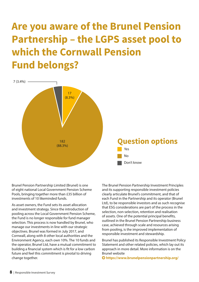### **Are you aware of the Brunel Pension Partnership – the LGPS asset pool to which the Cornwall Pension Fund belongs?**



Brunel Pension Partnership Limited (Brunel) is one of eight national Local Government Pension Scheme Pools, bringing together more than £35 billion of investments of 10 likeminded funds.

As asset owners, the Fund sets its asset allocation and investment strategy. Since the introduction of pooling across the Local Government Pension Scheme, the Fund is no longer responsible for fund manager selection. This process is now handled by Brunel, who manage our investments in line with our strategic objectives. Brunel was formed in July 2017, and Cornwall, along with 8 other local authorities and the Environment Agency, each own 10%. The 10 funds and the operator, Brunel Ltd, have a mutual commitment to building a financial system which is fit for a low carbon future and feel this commitment is pivotal to driving change together.

The Brunel Pension Partnership Investment Principles and its supporting responsible investment policies clearly articulate Brunel's commitment, and that of each Fund in the Partnership and its operator (Brunel Ltd), to be responsible investors and as such recognise that ESG considerations are part of the process in the selection, non-selection, retention and realisation of assets. One of the potential principal benefits, outlined in the Brunel Pension Partnership business case, achieved through scale and resources arising from pooling, is the improved implementation of responsible investment and stewardship.

Brunel has published its Responsible Investment Policy Statement and other related policies, which lay out its approach in more detail. More information is on the Brunel website

**<https://www.brunelpensionpartnership.org/>**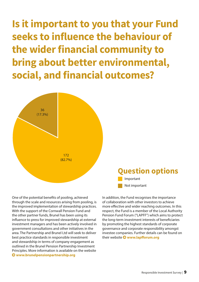**Is it important to you that your Fund seeks to influence the behaviour of the wider financial community to bring about better environmental, social, and financial outcomes?**



One of the potential benefits of pooling, achieved through the scale and resources arising from pooling, is the improved implementation of stewardship practices. With the support of the Cornwall Pension Fund and the other partner funds, Brunel has been using its influence to press for improved stewardship at external investment managers and has been actively involved in government consultations and other initiatives in the area. The Partnership and Brunel Ltd will seek to deliver best practice standards in responsible investment and stewardship in terms of company engagement as outlined in the Brunel Pension Partnership Investment Principles. More information is available on the website **[www.brunelpensionpartnership.org](http://www.brunelpensionpartnership.org/)**

In addition, the Fund recognises the importance of collaboration with other investors to achieve more effective and wider reaching outcomes. In this respect, the Fund is a member of the Local Authority Pension Fund Forum ("LAPFF") which aims to protect the long-term investment interests of beneficiaries by promoting the highest standards of corporate governance and corporate responsibility amongst investee companies. Further details can be found on their website **[www.lapfforum.org](http://www.lapfforum.org/)**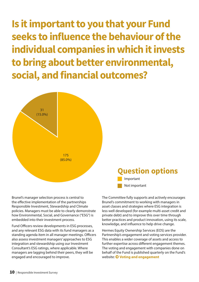**Is it important to you that your Fund seeks to influence the behaviour of the individual companies in which it invests to bring about better environmental, social, and financial outcomes?**



Brunel's manager selection process is central to the effective implementation of the partnerships Responsible Investment, Stewardship and Climate policies. Managers must be able to clearly demonstrate how Environmental, Social, and Governance ("ESG") is embedded into their investment process.

Fund Officers review developments in ESG processes, and any relevant ESG data with its fund managers as a standing agenda item in all manager meetings. Officers also assess investment managers' approaches to ESG integration and stewardship using our Investment Consultant's ESG ratings, where applicable. Where managers are lagging behind their peers, they will be engaged and encouraged to improve.

The Committee fully supports and actively encourages Brunel's commitment to working with managers in asset classes and strategies where ESG integration is less well developed (for example multi-asset credit and private debt) and to improve this over time through better practices and product innovation, using its scale, knowledge, and influence to help drive change.

Hermes Equity Ownership Services (EOS) are the Partnership's engagement and voting services provider. This enables a wider coverage of assets and access to further expertise across different engagement themes. The voting and engagement with companies done on behalf of the Fund is published quarterly on the Fund's website: **[Voting and engagement](https://www.cornwall.gov.uk/jobs-and-careers/cornwall-pension-fund/investments/voting-and-engagement/)**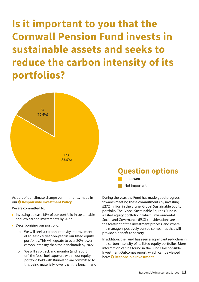**Is it important to you that the Cornwall Pension Fund invests in sustainable assets and seeks to reduce the carbon intensity of its portfolios?**



### **Question options** Important

As part of our climate change commitments, made in our **O** [Responsible Investment Policy](https://www.cornwall.gov.uk/jobs-and-careers/cornwall-pension-fund/investments/responsible-investment/):

We are committed to:

- Investing at least 15% of our portfolio in sustainable and low carbon investments by 2022.
- Decarbonising our portfolio:
	- o We will seek a carbon intensity improvement of at least 7% year-on-year in our listed equity portfolios. This will equate to over 20% lower carbon intensity than the benchmark by 2022.
	- o We will also track and monitor (and report on) the fossil fuel exposure within our equity portfolio held with Bruneland are committed to this being materially lower than the benchmark.

During the year, the Fund has made good progress towards meeting these commitments by investing £272 million in the Brunel Global Sustainable Equity portfolio. The Global Sustainable Equities Fund is a listed equity portfolio in which Environmental, Social and Governance (ESG) considerations are at the forefront of the investment process, and where the managers positively pursue companies that will provide a benefit to society.

Not important

In addition, the Fund has seen a significant reduction in the carbon intensity of its listed equity portfolios. More information can be found in the Fund's Responsible Investment Outcomes report, which can be viewed here:  $\bullet$  **[Responsible Investment](https://www.cornwall.gov.uk/jobs-and-careers/cornwall-pension-fund/investments/responsible-investment/)**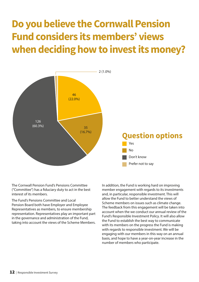### **Do you believe the Cornwall Pension Fund considers its members' views when deciding how to invest its money?**



The Cornwall Pension Fund's Pensions Committee ("Committee") has a fiduciary duty to act in the best interest of its members.

The Fund's Pensions Committee and Local Pension Board both have Employer and Employee Representatives as members, to ensure membership representation. Representatives play an important part in the governance and administration of the Fund, taking into account the views of the Scheme Members. In addition, the Fund is working hard on improving member engagement with regards to its investments and, in particular, responsible investment. This will allow the Fund to better understand the views of Scheme members on issues such as climate change. The feedback from this engagement will be taken into account when the we conduct our annual review of the Fund's Responsible Investment Policy. It will also allow the Fund to establish the best way to communicate with its members on the progress the Fund is making with regards to responsible investment. We will be engaging with our members in this way on an annual basis, and hope to have a year-on-year increase in the number of members who participate.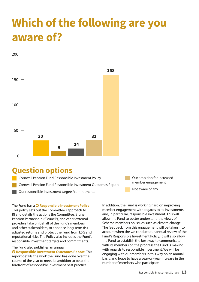## **Which of the following are you aware of?**



### **Question options**

Cornwall Pension Fund Responsible Investment Policy Cornwall Pension Fund Responsible Investment Outcomes Report Our responsible investment targets/commitments

Our ambition for increased member engagement

Not aware of any

The Fund has a **O** [Responsible Investment Policy](https://www.cornwall.gov.uk/jobs-and-careers/cornwall-pension-fund/investments/responsible-investment/) This policy sets out the Committee's approach to RI and details the actions the Committee, Brunel Pension Partnership ("Brunel"), and other external providers take on behalf of the Fund's members and other stakeholders, to enhance long-term risk adjusted returns and protect the Fund from ESG and reputational risks. The Policy also includes the Fund's responsible investment targets and commitments.

#### The Fund also publishes an annual

 **[Responsible Investment Outcomes Report](https://www.cornwall.gov.uk/jobs-and-careers/cornwall-pension-fund/investments/responsible-investment/)**. This report details the work the Fund has done over the course of the year to meet its ambition to be at the forefront of responsible investment best practice.

In addition, the Fund is working hard on improving member engagement with regards to its investments and, in particular, responsible investment. This will allow the Fund to better understand the views of Scheme members on issues such as climate change. The feedback from this engagement will be taken into account when the we conduct our annual review of the Fund's Responsible Investment Policy. It will also allow the Fund to establish the best way to communicate with its members on the progress the Fund is making with regards to responsible investment. We will be engaging with our members in this way on an annual basis, and hope to have a year-on-year increase in the number of members who participate.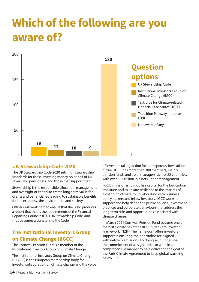## **Which of the following are you aware of?**



#### **UK Stewardship Code 2020**

The UK Stewardship Code 2020 sets high stewardship standards for those investing money on behalf of UK savers and pensioners, and those that support them.

Stewardship is the responsible allocation, management and oversight of capital to create long-term value for clients and beneficiaries leading to sustainable benefits for the economy, the environment and society.

Officers will work hard to ensure that the Fund produces a report that meets the requirements of the Financial Reporting Council's (FRC) UK Stewardship Code, and thus becomes a signatory to the Code.

### **The Institutional Investors Group on Climate Change (IIGCC)**

The Cornwall Pension Fund is a member of the Institutional Investors Group on Climate Change.

The Institutional Investors Group on Climate Change ("IIGCC") is the European membership body for investor collaboration on climate change and the voice of investors taking action for a prosperous, low carbon future. IIGCC has more than 300 members, mainly pension funds and asset managers, across 22 countries, with over €37 trillion in assets under management.

IIGCC's mission is to mobilise capital for the low carbon transition and to ensure resilience to the impacts of a changing climate by collaborating with business, policy makers and fellow investors. IIGCC works to support and help define the public policies, investment practices and corporate behaviours that address the long-term risks and opportunities associated with climate change.

In March 2021 Cornwall Pension Fund became one of the first signatories of the IIGCC's Net Zero Investor Framework (NZIF). The framework offers investors support in ensuring their portfolios are aligned with net-zero emissions. By doing so, it underlines the commitment of all signatories to work in a comprehensive manner to help deliver on the goal of the Paris Climate Agreement to keep global warming below 1.5°C.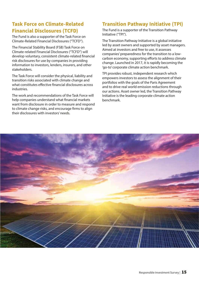### **Task Force on Climate-Related Financial Disclosures (TCFD)**

The Fund is also a supporter of the Task Force on Climate-Related Financial Disclosures ("TCFD").

The Financial Stability Board (FSB) Task Force on Climate-related Financial Disclosures ("TCFD") will develop voluntary, consistent climate-related financial risk disclosures for use by companies in providing information to investors, lenders, insurers, and other stakeholders.

The Task Force will consider the physical, liability and transition risks associated with climate change and what constitutes effective financial disclosures across industries.

The work and recommendations of the Task Force will help companies understand what financial markets want from disclosure in order to measure and respond to climate change risks, and encourage firms to align their disclosures with investors' needs.

#### **Transition Pathway Initiative (TPI)**

The Fund is a supporter of the Transition Pathway Initiative ("TPI").

The Transition Pathway Initiative is a global initiative led by asset owners and supported by asset managers. Aimed at investors and free to use, it assesses companies' preparedness for the transition to a lowcarbon economy, supporting efforts to address climate change. Launched in 2017, it is rapidly becoming the 'go-to' corporate climate action benchmark.

TPI provides robust, independent research which empowers investors to assess the alignment of their portfolios with the goals of the Paris Agreement and to drive real world emission reductions through our actions. Asset owner led, the Transition Pathway Initiative is the leading corporate climate action benchmark.

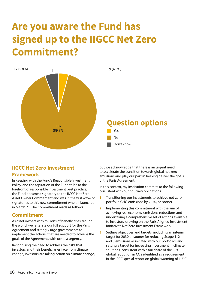### **Are you aware the Fund has signed up to the IIGCC Net Zero Commitment?**



#### **IIGCC Net Zero Investment Framework**

In keeping with the Fund's Responsible Investment Policy, and the aspiration of the Fund to be at the forefront of responsible investment best practice, the Fund became a signatory to the IIGCC Net Zero Asset Owner Commitment and was in the first wave of signatories to this new commitment when it launched in March 21. The Commitment reads as follows:

#### **Commitment**

As asset owners with millions of beneficiaries around the world, we reiterate our full support for the Paris Agreement and strongly urge governments to implement the actions that are needed to achieve the goals of the Agreement, with utmost urgency.

Recognising the need to address the risks that investors and their beneficiaries face from climate change, investors are taking action on climate change,

but we acknowledge that there is an urgent need to accelerate the transition towards global net zero emissions and play our part in helping deliver the goals of the Paris Agreement.

In this context, my institution commits to the following consistent with our fiduciary obligations:

- **1.** Transitioning our investments to achieve net-zero portfolio GHG emissions by 2050, or sooner.
- **2.** Implementing this commitment with the aim of achieving real economy emissions reductions and undertaking a comprehensive set of actions available to investors, drawing on the Paris Aligned Investment Initiative's Net Zero Investment Framework.
- **3.** Setting objectives and targets, including an interim target for 2030 or sooner for reducing Scope 1, 2 and 3 emissions associated with our portfolios and setting a target for increasing investment in climate solutions, consistent with a fair share of the 50% global reduction in CO2 identified as a requirement in the IPCC special report on global warming of 1.5°C.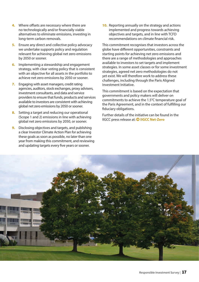- **4.** Where offsets are necessary where there are no technologically and/or financially viable alternatives to eliminate emissions, investing in long-term carbon removals.
- **5.** Ensure any direct and collective policy advocacy we undertake supports policy and regulation relevant for achieving global net zero emissions by 2050 or sooner.
- **6.** Implementing a stewardship and engagement strategy, with clear voting policy that is consistent with an objective for all assets in the portfolio to achieve net zero emissions by 2050 or sooner.
- **7.** Engaging with asset managers, credit rating agencies, auditors, stock exchanges, proxy advisers, investment consultants, and data and service providers to ensure that funds, products and services available to investors are consistent with achieving global net zero emissions by 2050 or sooner.
- **8.** Setting a target and reducing our operational (Scope 1 and 2) emissions in line with achieving global net zero emissions by 2050, or sooner.
- **9.** Disclosing objectives and targets, and publishing a clear Investor Climate Action Plan for achieving these goals as soon as possible, no later than one year from making this commitment, and reviewing and updating targets every five years or sooner.

**10.** Reporting annually on the strategy and actions implemented and progress towards achieving objectives and targets, and in line with TCFD recommendations on climate financial risk.

This commitment recognises that investors across the globe have different opportunities, constraints and starting points for achieving net zero emissions and there are a range of methodologies and approaches available to investors to set targets and implement strategies. In some asset classes or for some investment strategies, agreed net zero methodologies do not yet exist. We will therefore work to address these challenges, including through the Paris Aligned Investment Initiative.

This commitment is based on the expectation that governments and policy makers will deliver on commitments to achieve the 1.5°C temperature goal of the Paris Agreement, and in the context of fulfilling our fiduciary obligations.

Further details of the initiative can be found in the IIGCC press release at: **[IIGCC Net-Zero](https://www.iigcc.org/news/global-framework-for-investors-to-achieve-net-zero-emissions-alignment-launched-8-trillion-investors-put-it-into-practice/)**

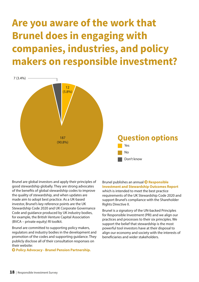### **Are you aware of the work that Brunel does in engaging with companies, industries, and policy makers on responsible investment?**



Brunel are global investors and apply their principles of good stewardship globally. They are strong advocates of the benefits of global stewardship codes to improve the quality of stewardship, and when updates are made aim to adopt best practice. As a UK-based investor, Brunel's key reference points are the UK Stewardship Code 2020 and UK Corporate Governance Code and guidance produced by UK industry bodies, for example, the British Venture Capital Association (BVCA – private equity) RI toolkit.

Brunel are committed to supporting policy makers, regulators and industry bodies in the development and promotion of the codes and supporting guidance. They publicly disclose all of their consultation responses on their website:

**[Policy Advocacy - Brunel Pension Partnership.](https://www.brunelpensionpartnership.org/stewardship/policy-advocacy/)**

[Brunel publishes an annual](https://www.brunelpensionpartnership.org/responsible-investment/responsible-investment-and-stewardship-outcomes-report/)  **Responsible [Investment and Stewardship Outcomes Report](https://www.brunelpensionpartnership.org/responsible-investment/responsible-investment-and-stewardship-outcomes-report/)** which is intended to meet the best practice requirements of the UK Stewardship Code 2020 and support Brunel's compliance with the Shareholder Rights Directive II.

Brunel is a signatory of the UN-backed Principles for Responsible Investment (PRI) and we align our practices and processes to their six principles. We support the belief that stewardship is the most powerful tool investors have at their disposal to align our economy and society with the interests of beneficiaries and wider stakeholders.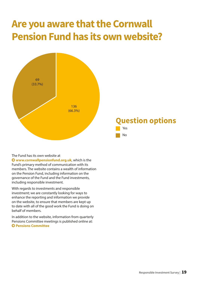### **Are you aware that the Cornwall Pension Fund has its own website?**



The Fund has its own website at

 **[www.cornwallpensionfund.org.uk](http://www.cornwallpensionfund.org.uk/)**, which is the Fund's primary method of communication with its members. The website contains a wealth of information on the Pension Fund, including information on the governance of the Fund and the Fund investments, including responsible investment.

With regards to investments and responsible investment; we are constantly looking for ways to enhance the reporting and information we provide on the website, to ensure that members are kept up to date with all of the good work the Fund is doing on behalf of members.

In addition to the website, information from quarterly Pensions Committee meetings is published online at: **Pensions Committee**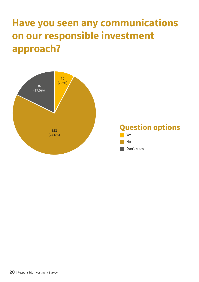### **Have you seen any communications on our responsible investment approach?**

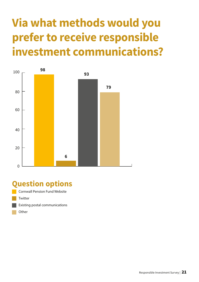# **Via what methods would you prefer to receive responsible investment communications?**



### **Question options**

- Cornwall Pension Fund Website **Twitter** Existing postal communications
	- **Other**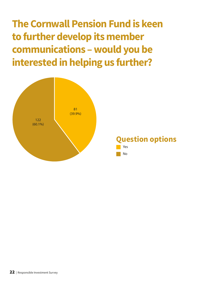**The Cornwall Pension Fund is keen to further develop its member communications – would you be interested in helping us further?**